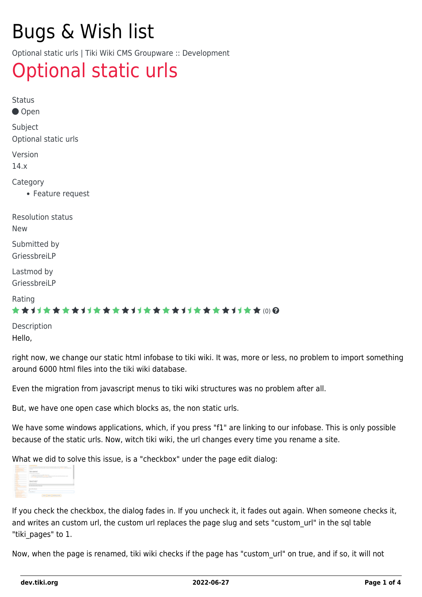# Bugs & Wish list

Optional static urls | Tiki Wiki CMS Groupware :: Development

## [Optional static urls](https://dev.tiki.org/item5730-Optional-static-urls)

| <b>Status</b>                              |
|--------------------------------------------|
| ● Open                                     |
| Subject<br>Optional static urls            |
| Version<br>14.x                            |
| Category<br>• Feature request              |
| <b>Resolution status</b><br><b>New</b>     |
| Submitted by<br>GriessbreiLP               |
| Lastmod by<br>GriessbreiLP                 |
| Rating<br>★★オオ★★★★オオ★★★★オオ★★★★オオ★★★★オオ★★⑷Q |
| Description                                |
|                                            |

Hello,

right now, we change our static html infobase to tiki wiki. It was, more or less, no problem to import something around 6000 html files into the tiki wiki database.

Even the migration from javascript menus to tiki wiki structures was no problem after all.

But, we have one open case which blocks as, the non static urls.

We have some windows applications, which, if you press "f1" are linking to our infobase. This is only possible because of the static urls. Now, witch tiki wiki, the url changes every time you rename a site.

What we did to solve this issue, is a "checkbox" under the page edit dialog:



If you check the checkbox, the dialog fades in. If you uncheck it, it fades out again. When someone checks it, and writes an custom url, the custom url replaces the page slug and sets "custom url" in the sql table "tiki pages" to 1.

Now, when the page is renamed, tiki wiki checks if the page has "custom\_url" on true, and if so, it will not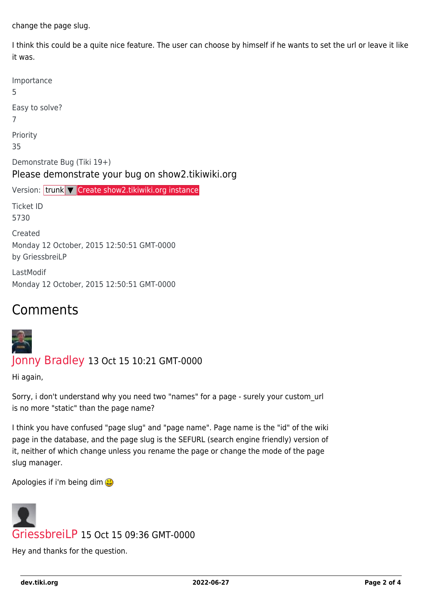change the page slug.

I think this could be a quite nice feature. The user can choose by himself if he wants to set the url or leave it like it was.

| Importance<br>5                                                                 |
|---------------------------------------------------------------------------------|
| Easy to solve?<br>7                                                             |
| Priority<br>35                                                                  |
| Demonstrate Bug (Tiki 19+)<br>Please demonstrate your bug on show2.tikiwiki.org |
| Version: trunk V Create show2.tikiwiki.org instance                             |
| <b>Ticket ID</b><br>5730                                                        |
| Created<br>Monday 12 October, 2015 12:50:51 GMT-0000<br>by GriessbreiLP         |
| LastModif                                                                       |

### Comments



#### [Jonny Bradley](https://dev.tiki.org/user8515) 13 Oct 15 10:21 GMT-0000

Hi again,

Sorry, i don't understand why you need two "names" for a page - surely your custom\_url is no more "static" than the page name?

I think you have confused "page slug" and "page name". Page name is the "id" of the wiki page in the database, and the page slug is the SEFURL (search engine friendly) version of it, neither of which change unless you rename the page or change the mode of the page slug manager.

Apologies if i'm being dim



Hey and thanks for the question.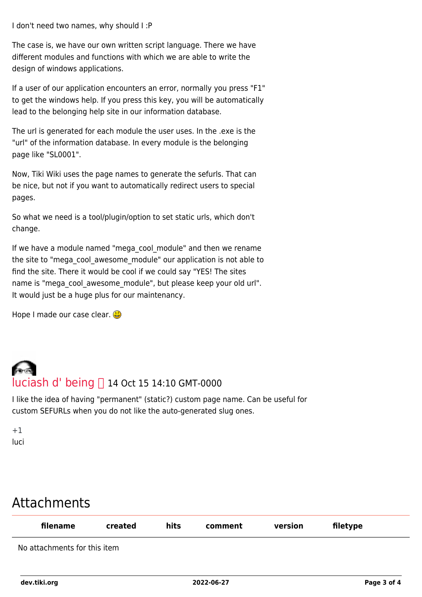I don't need two names, why should I :P

The case is, we have our own written script language. There we have different modules and functions with which we are able to write the design of windows applications.

If a user of our application encounters an error, normally you press "F1" to get the windows help. If you press this key, you will be automatically lead to the belonging help site in our information database.

The url is generated for each module the user uses. In the .exe is the "url" of the information database. In every module is the belonging page like "SL0001".

Now, Tiki Wiki uses the page names to generate the sefurls. That can be nice, but not if you want to automatically redirect users to special pages.

So what we need is a tool/plugin/option to set static urls, which don't change.

If we have a module named "mega\_cool\_module" and then we rename the site to "mega\_cool\_awesome\_module" our application is not able to find the site. There it would be cool if we could say "YES! The sites name is "mega\_cool\_awesome\_module", but please keep your old url". It would just be a huge plus for our maintenancy.

Hope I made our case clear.

# [luciash d' being](https://dev.tiki.org/user199)  14 Oct 15 14:10 GMT-0000

I like the idea of having "permanent" (static?) custom page name. Can be useful for custom SEFURLs when you do not like the auto-generated slug ones.

 $+1$ luci

## Attachments

| filename                     | created | hits | comment | version | filetype |
|------------------------------|---------|------|---------|---------|----------|
| No attachments for this item |         |      |         |         |          |